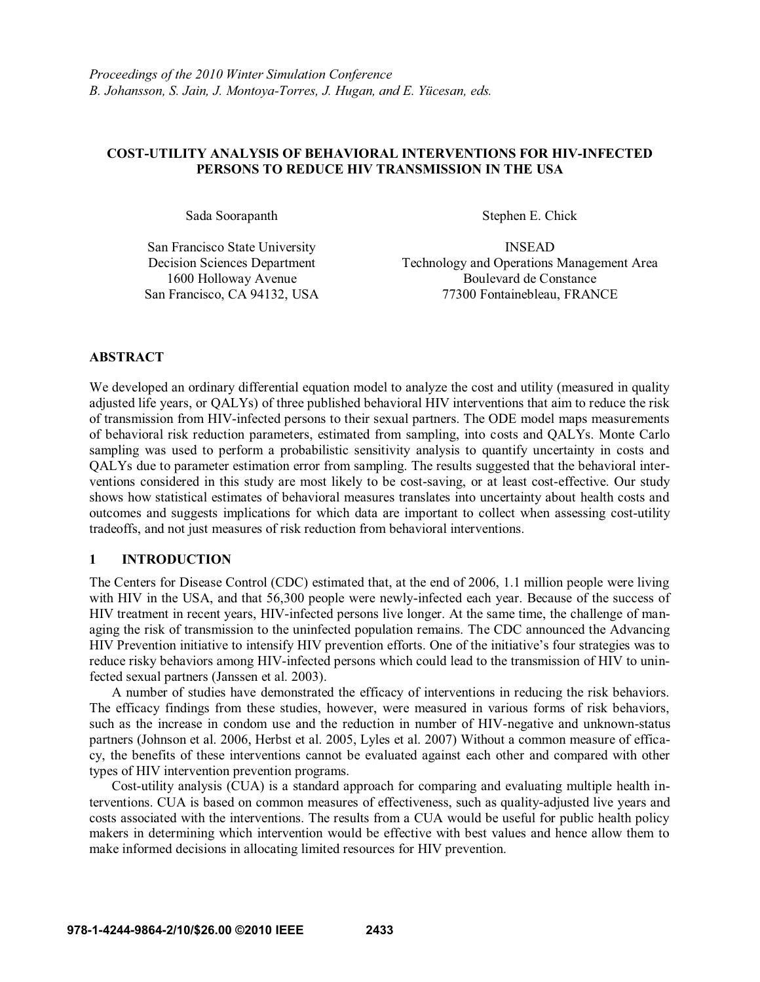# **COST-UTILITY ANALYSIS OF BEHAVIORAL INTERVENTIONS FOR HIV-INFECTED PERSONS TO REDUCE HIV TRANSMISSION IN THE USA**

Sada Soorapanth Stephen E. Chick

San Francisco State University INSEAD 1600 Holloway Avenue San Francisco, CA 94132, USA

Decision Sciences Department Technology and Operations Management Area Boulevard de Constance 77300 Fontainebleau, FRANCE

### **ABSTRACT**

We developed an ordinary differential equation model to analyze the cost and utility (measured in quality adjusted life years, or QALYs) of three published behavioral HIV interventions that aim to reduce the risk of transmission from HIV-infected persons to their sexual partners. The ODE model maps measurements of behavioral risk reduction parameters, estimated from sampling, into costs and QALYs. Monte Carlo sampling was used to perform a probabilistic sensitivity analysis to quantify uncertainty in costs and QALYs due to parameter estimation error from sampling. The results suggested that the behavioral interventions considered in this study are most likely to be cost-saving, or at least cost-effective. Our study shows how statistical estimates of behavioral measures translates into uncertainty about health costs and outcomes and suggests implications for which data are important to collect when assessing cost-utility tradeoffs, and not just measures of risk reduction from behavioral interventions.

## **1 INTRODUCTION**

The Centers for Disease Control (CDC) estimated that, at the end of 2006, 1.1 million people were living with HIV in the USA, and that 56,300 people were newly-infected each year. Because of the success of HIV treatment in recent years, HIV-infected persons live longer. At the same time, the challenge of managing the risk of transmission to the uninfected population remains. The CDC announced the Advancing HIV Prevention initiative to intensify HIV prevention efforts. One of the initiative's four strategies was to reduce risky behaviors among HIV-infected persons which could lead to the transmission of HIV to uninfected sexual partners (Janssen et al. 2003).

 A number of studies have demonstrated the efficacy of interventions in reducing the risk behaviors. The efficacy findings from these studies, however, were measured in various forms of risk behaviors, such as the increase in condom use and the reduction in number of HIV-negative and unknown-status partners (Johnson et al. 2006, Herbst et al. 2005, Lyles et al. 2007) Without a common measure of efficacy, the benefits of these interventions cannot be evaluated against each other and compared with other types of HIV intervention prevention programs.

Cost-utility analysis (CUA) is a standard approach for comparing and evaluating multiple health interventions. CUA is based on common measures of effectiveness, such as quality-adjusted live years and costs associated with the interventions. The results from a CUA would be useful for public health policy makers in determining which intervention would be effective with best values and hence allow them to make informed decisions in allocating limited resources for HIV prevention.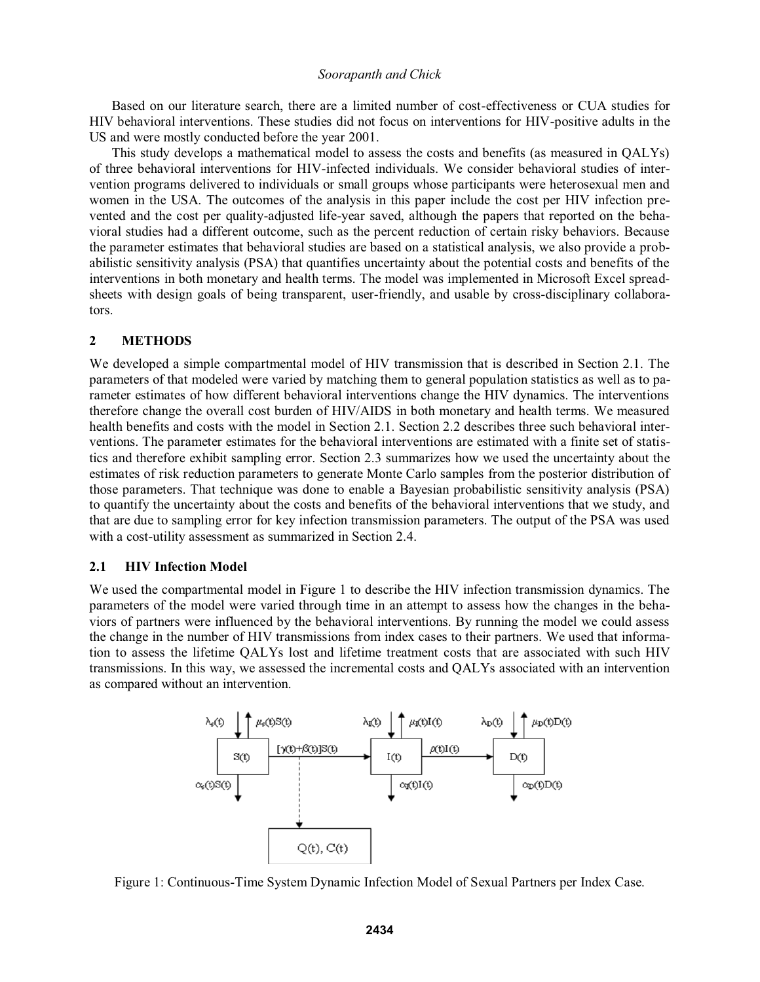Based on our literature search, there are a limited number of cost-effectiveness or CUA studies for HIV behavioral interventions. These studies did not focus on interventions for HIV-positive adults in the US and were mostly conducted before the year 2001.

 This study develops a mathematical model to assess the costs and benefits (as measured in QALYs) of three behavioral interventions for HIV-infected individuals. We consider behavioral studies of intervention programs delivered to individuals or small groups whose participants were heterosexual men and women in the USA. The outcomes of the analysis in this paper include the cost per HIV infection prevented and the cost per quality-adjusted life-year saved, although the papers that reported on the behavioral studies had a different outcome, such as the percent reduction of certain risky behaviors. Because the parameter estimates that behavioral studies are based on a statistical analysis, we also provide a probabilistic sensitivity analysis (PSA) that quantifies uncertainty about the potential costs and benefits of the interventions in both monetary and health terms. The model was implemented in Microsoft Excel spreadsheets with design goals of being transparent, user-friendly, and usable by cross-disciplinary collaborators.

### **2 METHODS**

We developed a simple compartmental model of HIV transmission that is described in Section 2.1. The parameters of that modeled were varied by matching them to general population statistics as well as to parameter estimates of how different behavioral interventions change the HIV dynamics. The interventions therefore change the overall cost burden of HIV/AIDS in both monetary and health terms. We measured health benefits and costs with the model in Section 2.1. Section 2.2 describes three such behavioral interventions. The parameter estimates for the behavioral interventions are estimated with a finite set of statistics and therefore exhibit sampling error. Section 2.3 summarizes how we used the uncertainty about the estimates of risk reduction parameters to generate Monte Carlo samples from the posterior distribution of those parameters. That technique was done to enable a Bayesian probabilistic sensitivity analysis (PSA) to quantify the uncertainty about the costs and benefits of the behavioral interventions that we study, and that are due to sampling error for key infection transmission parameters. The output of the PSA was used with a cost-utility assessment as summarized in Section 2.4.

### **2.1 HIV Infection Model**

We used the compartmental model in Figure 1 to describe the HIV infection transmission dynamics. The parameters of the model were varied through time in an attempt to assess how the changes in the behaviors of partners were influenced by the behavioral interventions. By running the model we could assess the change in the number of HIV transmissions from index cases to their partners. We used that information to assess the lifetime QALYs lost and lifetime treatment costs that are associated with such HIV transmissions. In this way, we assessed the incremental costs and QALYs associated with an intervention as compared without an intervention.



Figure 1: Continuous-Time System Dynamic Infection Model of Sexual Partners per Index Case.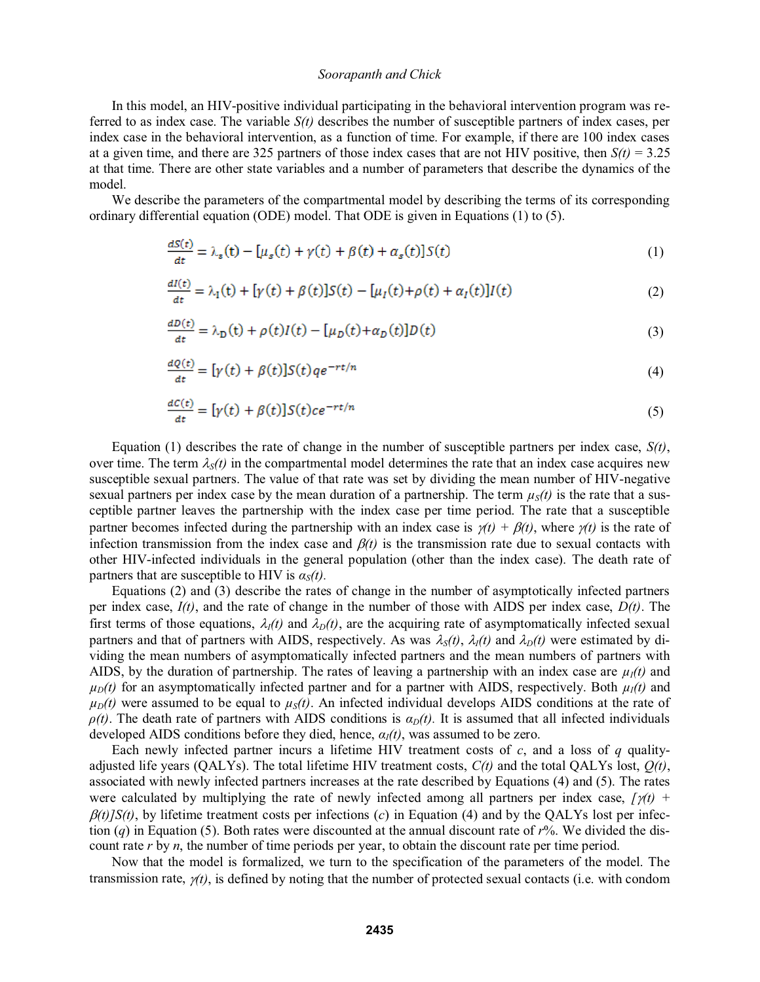In this model, an HIV-positive individual participating in the behavioral intervention program was referred to as index case. The variable *S(t)* describes the number of susceptible partners of index cases, per index case in the behavioral intervention, as a function of time. For example, if there are 100 index cases at a given time, and there are 325 partners of those index cases that are not HIV positive, then  $S(t) = 3.25$ at that time. There are other state variables and a number of parameters that describe the dynamics of the model.

We describe the parameters of the compartmental model by describing the terms of its corresponding ordinary differential equation (ODE) model. That ODE is given in Equations (1) to (5).

$$
\frac{dS(t)}{dt} = \lambda_s(t) - [\mu_s(t) + \gamma(t) + \beta(t) + \alpha_s(t)]S(t)
$$
\n(1)

$$
\frac{dI(t)}{dt} = \lambda_1(t) + [\gamma(t) + \beta(t)]S(t) - [\mu_I(t) + \rho(t) + \alpha_I(t)]I(t)
$$
\n(2)

$$
\frac{dD(t)}{dt} = \lambda_D(t) + \rho(t)I(t) - [\mu_D(t) + \alpha_D(t)]D(t)
$$
\n(3)

$$
\frac{dQ(t)}{dt} = \left[\gamma(t) + \beta(t)\right]S(t)qe^{-rt/n} \tag{4}
$$

$$
\frac{dC(t)}{dt} = \left[\gamma(t) + \beta(t)\right]S(t)ce^{-rt/n} \tag{5}
$$

Equation (1) describes the rate of change in the number of susceptible partners per index case,  $S(t)$ , over time. The term  $\lambda_s(t)$  in the compartmental model determines the rate that an index case acquires new susceptible sexual partners. The value of that rate was set by dividing the mean number of HIV-negative sexual partners per index case by the mean duration of a partnership. The term  $\mu<sub>S</sub>(t)$  is the rate that a susceptible partner leaves the partnership with the index case per time period. The rate that a susceptible partner becomes infected during the partnership with an index case is  $\gamma(t) + \beta(t)$ , where  $\gamma(t)$  is the rate of infection transmission from the index case and  $\beta(t)$  is the transmission rate due to sexual contacts with other HIV-infected individuals in the general population (other than the index case). The death rate of partners that are susceptible to HIV is  $\alpha_s(t)$ .

 Equations (2) and (3) describe the rates of change in the number of asymptotically infected partners per index case, *I(t)*, and the rate of change in the number of those with AIDS per index case, *D(t)*. The first terms of those equations,  $\lambda_I(t)$  and  $\lambda_D(t)$ , are the acquiring rate of asymptomatically infected sexual partners and that of partners with AIDS, respectively. As was  $\lambda_s(t)$ ,  $\lambda_l(t)$  and  $\lambda_D(t)$  were estimated by dividing the mean numbers of asymptomatically infected partners and the mean numbers of partners with AIDS, by the duration of partnership. The rates of leaving a partnership with an index case are  $\mu_1(t)$  and  $\mu_D(t)$  for an asymptomatically infected partner and for a partner with AIDS, respectively. Both  $\mu_I(t)$  and  $\mu_D(t)$  were assumed to be equal to  $\mu_S(t)$ . An infected individual develops AIDS conditions at the rate of  $\rho(t)$ . The death rate of partners with AIDS conditions is  $\alpha_D(t)$ . It is assumed that all infected individuals developed AIDS conditions before they died, hence,  $\alpha_l(t)$ , was assumed to be zero.

Each newly infected partner incurs a lifetime HIV treatment costs of  $c$ , and a loss of  $q$  qualityadjusted life years (QALYs). The total lifetime HIV treatment costs, *C(t)* and the total QALYs lost, *Q(t)*, associated with newly infected partners increases at the rate described by Equations (4) and (5). The rates were calculated by multiplying the rate of newly infected among all partners per index case,  $\gamma(t)$  +  $\beta(t)/S(t)$ , by lifetime treatment costs per infections (*c*) in Equation (4) and by the QALYs lost per infection (*q*) in Equation (5). Both rates were discounted at the annual discount rate of *r*%. We divided the discount rate *r* by *n*, the number of time periods per year, to obtain the discount rate per time period.

Now that the model is formalized, we turn to the specification of the parameters of the model. The transmission rate,  $y(t)$ , is defined by noting that the number of protected sexual contacts (i.e. with condom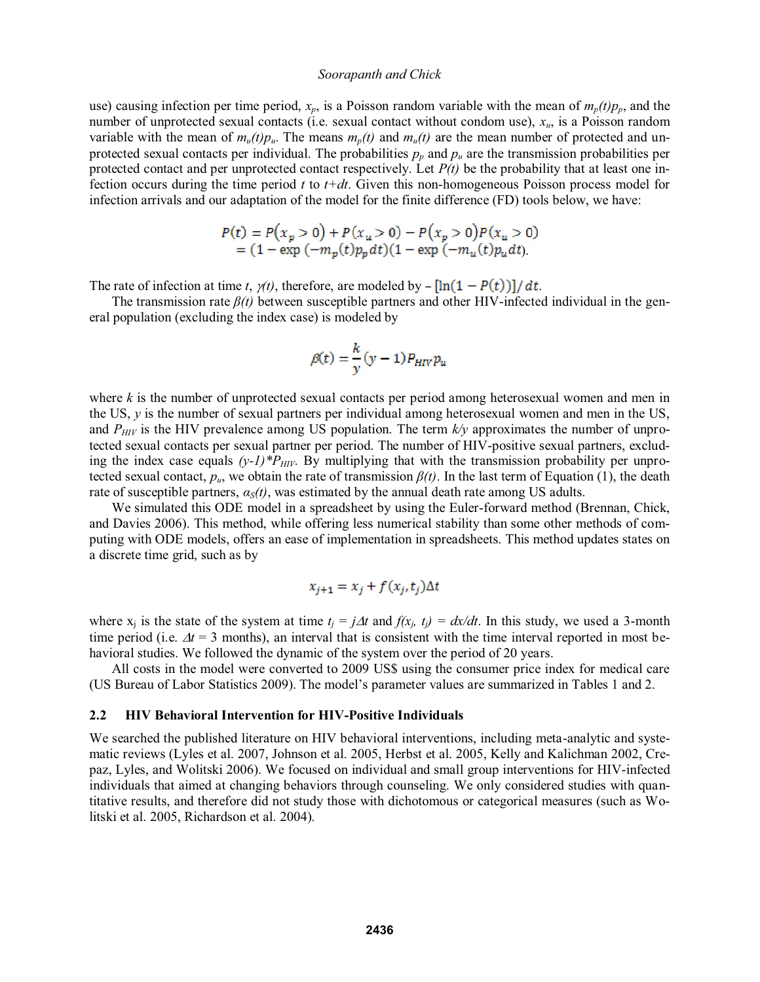use) causing infection per time period,  $x_p$ , is a Poisson random variable with the mean of  $m_p(t)p_p$ , and the number of unprotected sexual contacts (i.e. sexual contact without condom use), *xu*, is a Poisson random variable with the mean of  $m_u(t)p_u$ . The means  $m_v(t)$  and  $m_u(t)$  are the mean number of protected and unprotected sexual contacts per individual. The probabilities  $p_p$  and  $p_u$  are the transmission probabilities per protected contact and per unprotected contact respectively. Let *P(t)* be the probability that at least one infection occurs during the time period *t* to *t+dt*. Given this non-homogeneous Poisson process model for infection arrivals and our adaptation of the model for the finite difference (FD) tools below, we have:

$$
P(t) = P(x_p > 0) + P(x_u > 0) - P(x_p > 0)P(x_u > 0)
$$
  
= (1 - exp (-m<sub>p</sub>(t)p<sub>p</sub>dt)(1 - exp (-m<sub>u</sub>(t)p<sub>u</sub>dt).

The rate of infection at time *t*,  $\gamma(t)$ , therefore, are modeled by  $-\left[\ln(1 - P(t))\right]/dt$ .

The transmission rate  $\beta(t)$  between susceptible partners and other HIV-infected individual in the general population (excluding the index case) is modeled by

$$
\beta(t) = \frac{k}{y}(y-1)P_{HIV}p_u
$$

where *k* is the number of unprotected sexual contacts per period among heterosexual women and men in the US, *y* is the number of sexual partners per individual among heterosexual women and men in the US, and  $P_{HIV}$  is the HIV prevalence among US population. The term  $k/y$  approximates the number of unprotected sexual contacts per sexual partner per period. The number of HIV-positive sexual partners, excluding the index case equals  $(y-1)^*P_{HIV}$ . By multiplying that with the transmission probability per unprotected sexual contact,  $p_u$ , we obtain the rate of transmission  $\beta(t)$ . In the last term of Equation (1), the death rate of susceptible partners,  $\alpha_s(t)$ , was estimated by the annual death rate among US adults.

We simulated this ODE model in a spreadsheet by using the Euler-forward method (Brennan, Chick, and Davies 2006). This method, while offering less numerical stability than some other methods of computing with ODE models, offers an ease of implementation in spreadsheets. This method updates states on a discrete time grid, such as by

$$
x_{j+1} = x_j + f(x_j, t_j) \Delta t
$$

where  $x_i$  is the state of the system at time  $t_i = j\Delta t$  and  $f(x_i, t_i) = dx/dt$ . In this study, we used a 3-month time period (i.e.  $\Delta t = 3$  months), an interval that is consistent with the time interval reported in most behavioral studies. We followed the dynamic of the system over the period of 20 years.

All costs in the model were converted to 2009 US\$ using the consumer price index for medical care (US Bureau of Labor Statistics 2009). The model's parameter values are summarized in Tables 1 and 2.

### **2.2 HIV Behavioral Intervention for HIV-Positive Individuals**

We searched the published literature on HIV behavioral interventions, including meta-analytic and systematic reviews (Lyles et al. 2007, Johnson et al. 2005, Herbst et al. 2005, Kelly and Kalichman 2002, Crepaz, Lyles, and Wolitski 2006). We focused on individual and small group interventions for HIV-infected individuals that aimed at changing behaviors through counseling. We only considered studies with quantitative results, and therefore did not study those with dichotomous or categorical measures (such as Wolitski et al. 2005, Richardson et al. 2004).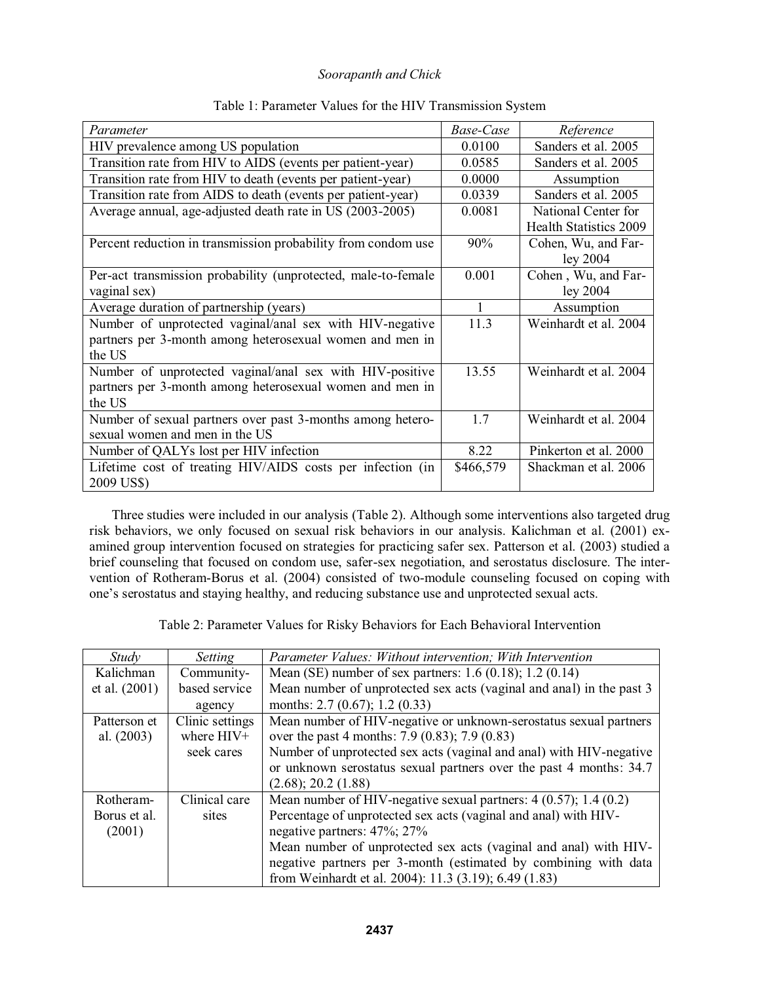| Parameter                                                     | Base-Case | Reference                     |
|---------------------------------------------------------------|-----------|-------------------------------|
| HIV prevalence among US population                            | 0.0100    | Sanders et al. 2005           |
|                                                               |           |                               |
| Transition rate from HIV to AIDS (events per patient-year)    | 0.0585    | Sanders et al. 2005           |
| Transition rate from HIV to death (events per patient-year)   | 0.0000    | Assumption                    |
| Transition rate from AIDS to death (events per patient-year)  | 0.0339    | Sanders et al. 2005           |
| Average annual, age-adjusted death rate in US (2003-2005)     | 0.0081    | National Center for           |
|                                                               |           | <b>Health Statistics 2009</b> |
| Percent reduction in transmission probability from condom use | 90%       | Cohen, Wu, and Far-           |
|                                                               |           | ley 2004                      |
| Per-act transmission probability (unprotected, male-to-female | 0.001     | Cohen, Wu, and Far-           |
| vaginal sex)                                                  |           | ley 2004                      |
| Average duration of partnership (years)                       | 1         | Assumption                    |
| Number of unprotected vaginal/anal sex with HIV-negative      | 11.3      | Weinhardt et al. 2004         |
| partners per 3-month among heterosexual women and men in      |           |                               |
| the US                                                        |           |                               |
| Number of unprotected vaginal/anal sex with HIV-positive      | 13.55     | Weinhardt et al. 2004         |
| partners per 3-month among heterosexual women and men in      |           |                               |
| the US                                                        |           |                               |
| Number of sexual partners over past 3-months among hetero-    | 1.7       | Weinhardt et al. 2004         |
| sexual women and men in the US                                |           |                               |
|                                                               |           |                               |
| Number of QALYs lost per HIV infection                        | 8.22      | Pinkerton et al. 2000         |
| Lifetime cost of treating HIV/AIDS costs per infection (in    | \$466,579 | Shackman et al. 2006          |
| 2009 US\$)                                                    |           |                               |

# Table 1: Parameter Values for the HIV Transmission System

 Three studies were included in our analysis (Table 2). Although some interventions also targeted drug risk behaviors, we only focused on sexual risk behaviors in our analysis. Kalichman et al. (2001) examined group intervention focused on strategies for practicing safer sex. Patterson et al. (2003) studied a brief counseling that focused on condom use, safer-sex negotiation, and serostatus disclosure. The intervention of Rotheram-Borus et al. (2004) consisted of two-module counseling focused on coping with one's serostatus and staying healthy, and reducing substance use and unprotected sexual acts.

Table 2: Parameter Values for Risky Behaviors for Each Behavioral Intervention

| Study         | Setting         | Parameter Values: Without intervention; With Intervention            |
|---------------|-----------------|----------------------------------------------------------------------|
| Kalichman     | Community-      | Mean (SE) number of sex partners: $1.6$ (0.18); $1.2$ (0.14)         |
| et al. (2001) | based service   | Mean number of unprotected sex acts (vaginal and anal) in the past 3 |
|               | agency          | months: $2.7(0.67)$ ; $1.2(0.33)$                                    |
| Patterson et  | Clinic settings | Mean number of HIV-negative or unknown-serostatus sexual partners    |
| al. $(2003)$  | where HIV+      | over the past 4 months: 7.9 (0.83); 7.9 (0.83)                       |
|               | seek cares      | Number of unprotected sex acts (vaginal and anal) with HIV-negative  |
|               |                 | or unknown serostatus sexual partners over the past 4 months: 34.7   |
|               |                 | (2.68); 20.2 (1.88)                                                  |
| Rotheram-     | Clinical care   | Mean number of HIV-negative sexual partners: $4(0.57)$ ; 1.4 $(0.2)$ |
| Borus et al.  | sites           | Percentage of unprotected sex acts (vaginal and anal) with HIV-      |
| (2001)        |                 | negative partners: 47%; 27%                                          |
|               |                 | Mean number of unprotected sex acts (vaginal and anal) with HIV-     |
|               |                 | negative partners per 3-month (estimated by combining with data      |
|               |                 | from Weinhardt et al. 2004): 11.3 (3.19); 6.49 (1.83)                |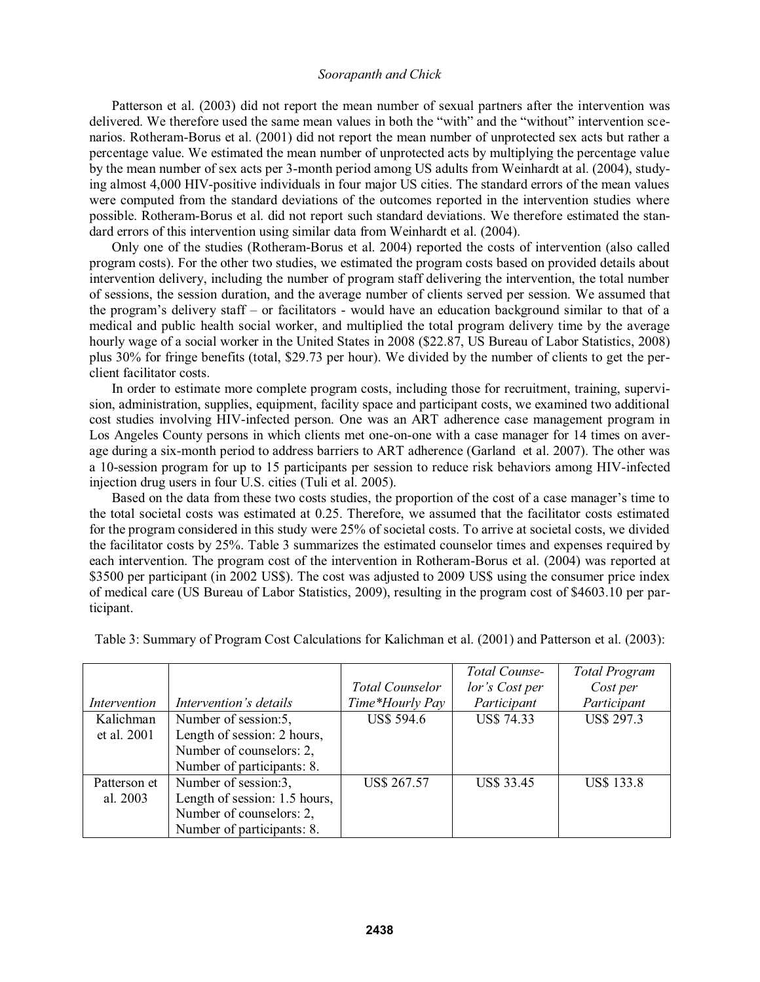Patterson et al. (2003) did not report the mean number of sexual partners after the intervention was delivered. We therefore used the same mean values in both the "with" and the "without" intervention scenarios. Rotheram-Borus et al. (2001) did not report the mean number of unprotected sex acts but rather a percentage value. We estimated the mean number of unprotected acts by multiplying the percentage value by the mean number of sex acts per 3-month period among US adults from Weinhardt at al. (2004), studying almost 4,000 HIV-positive individuals in four major US cities. The standard errors of the mean values were computed from the standard deviations of the outcomes reported in the intervention studies where possible. Rotheram-Borus et al. did not report such standard deviations. We therefore estimated the standard errors of this intervention using similar data from Weinhardt et al. (2004).

Only one of the studies (Rotheram-Borus et al. 2004) reported the costs of intervention (also called program costs). For the other two studies, we estimated the program costs based on provided details about intervention delivery, including the number of program staff delivering the intervention, the total number of sessions, the session duration, and the average number of clients served per session. We assumed that the program's delivery staff – or facilitators - would have an education background similar to that of a medical and public health social worker, and multiplied the total program delivery time by the average hourly wage of a social worker in the United States in 2008 (\$22.87, US Bureau of Labor Statistics, 2008) plus 30% for fringe benefits (total, \$29.73 per hour). We divided by the number of clients to get the perclient facilitator costs.

In order to estimate more complete program costs, including those for recruitment, training, supervision, administration, supplies, equipment, facility space and participant costs, we examined two additional cost studies involving HIV-infected person. One was an ART adherence case management program in Los Angeles County persons in which clients met one-on-one with a case manager for 14 times on average during a six-month period to address barriers to ART adherence (Garland et al. 2007). The other was a 10-session program for up to 15 participants per session to reduce risk behaviors among HIV-infected injection drug users in four U.S. cities (Tuli et al. 2005).

Based on the data from these two costs studies, the proportion of the cost of a case manager's time to the total societal costs was estimated at 0.25. Therefore, we assumed that the facilitator costs estimated for the program considered in this study were 25% of societal costs. To arrive at societal costs, we divided the facilitator costs by 25%. Table 3 summarizes the estimated counselor times and expenses required by each intervention. The program cost of the intervention in Rotheram-Borus et al. (2004) was reported at \$3500 per participant (in 2002 US\$). The cost was adjusted to 2009 US\$ using the consumer price index of medical care (US Bureau of Labor Statistics, 2009), resulting in the program cost of \$4603.10 per participant.

|              |                               |                        | <b>Total Counse-</b> | <b>Total Program</b> |
|--------------|-------------------------------|------------------------|----------------------|----------------------|
|              |                               | <b>Total Counselor</b> | lor's Cost per       | Cost per             |
| Intervention | Intervention's details        | Time*Hourly Pay        | Participant          | Participant          |
| Kalichman    | Number of session:5,          | <b>US\$ 594.6</b>      | <b>US\$ 74.33</b>    | <b>US\$ 297.3</b>    |
| et al. 2001  | Length of session: 2 hours,   |                        |                      |                      |
|              | Number of counselors: 2,      |                        |                      |                      |
|              | Number of participants: 8.    |                        |                      |                      |
| Patterson et | Number of session:3,          | <b>US\$ 267.57</b>     | <b>US\$ 33.45</b>    | <b>US\$ 133.8</b>    |
| al. 2003     | Length of session: 1.5 hours, |                        |                      |                      |
|              | Number of counselors: 2,      |                        |                      |                      |
|              | Number of participants: 8.    |                        |                      |                      |

Table 3: Summary of Program Cost Calculations for Kalichman et al. (2001) and Patterson et al. (2003):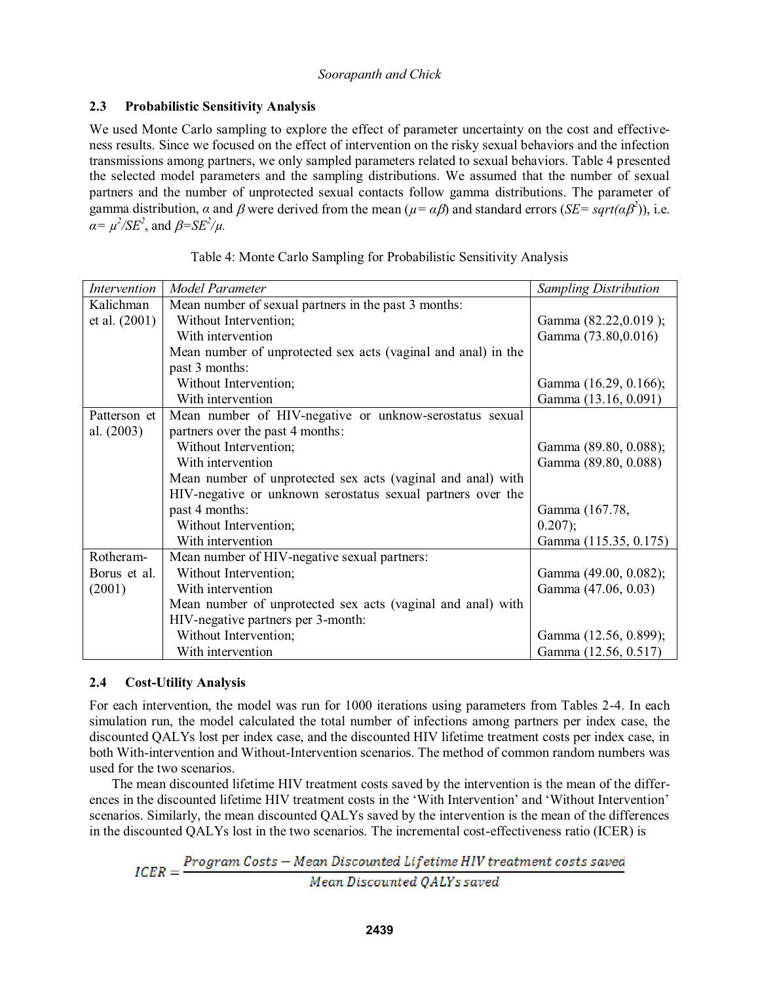# **2.3 Probabilistic Sensitivity Analysis**

We used Monte Carlo sampling to explore the effect of parameter uncertainty on the cost and effectiveness results. Since we focused on the effect of intervention on the risky sexual behaviors and the infection transmissions among partners, we only sampled parameters related to sexual behaviors. Table 4 presented the selected model parameters and the sampling distributions. We assumed that the number of sexual partners and the number of unprotected sexual contacts follow gamma distributions. The parameter of gamma distribution,  $\alpha$  and  $\beta$  were derived from the mean ( $\mu = \alpha \beta$ ) and standard errors (*SE* = *sqrt(* $\alpha \beta$ *<sup>2</sup>)*), i.e.  $\alpha = \mu^2 / SE^2$ , and  $\beta = SE^2 / \mu$ .

| <b>Intervention</b> | Model Parameter                                               | <b>Sampling Distribution</b> |
|---------------------|---------------------------------------------------------------|------------------------------|
| Kalichman           | Mean number of sexual partners in the past 3 months:          |                              |
| et al. $(2001)$     | Without Intervention;                                         | Gamma (82.22,0.019);         |
|                     | With intervention                                             | Gamma (73.80,0.016)          |
|                     | Mean number of unprotected sex acts (vaginal and anal) in the |                              |
|                     | past 3 months:                                                |                              |
|                     | Without Intervention;                                         | Gamma (16.29, 0.166);        |
|                     | With intervention                                             | Gamma (13.16, 0.091)         |
| Patterson et        | Mean number of HIV-negative or unknow-serostatus sexual       |                              |
| al. $(2003)$        | partners over the past 4 months:                              |                              |
|                     | Without Intervention;                                         | Gamma (89.80, 0.088);        |
|                     | With intervention                                             | Gamma (89.80, 0.088)         |
|                     | Mean number of unprotected sex acts (vaginal and anal) with   |                              |
|                     | HIV-negative or unknown serostatus sexual partners over the   |                              |
|                     | past 4 months:                                                | Gamma (167.78,               |
|                     | Without Intervention;                                         | $0.207$ ;                    |
|                     | With intervention                                             | Gamma (115.35, 0.175)        |
| Rotheram-           | Mean number of HIV-negative sexual partners:                  |                              |
| Borus et al.        | Without Intervention;                                         | Gamma (49.00, 0.082);        |
| (2001)              | With intervention                                             | Gamma (47.06, 0.03)          |
|                     | Mean number of unprotected sex acts (vaginal and anal) with   |                              |
|                     | HIV-negative partners per 3-month:                            |                              |
|                     | Without Intervention;                                         | Gamma (12.56, 0.899);        |
|                     | With intervention                                             | Gamma (12.56, 0.517)         |

| Table 4: Monte Carlo Sampling for Probabilistic Sensitivity Analysis |  |  |  |
|----------------------------------------------------------------------|--|--|--|
|                                                                      |  |  |  |
|                                                                      |  |  |  |

# **2.4 Cost-Utility Analysis**

For each intervention, the model was run for 1000 iterations using parameters from Tables 2-4. In each simulation run, the model calculated the total number of infections among partners per index case, the discounted QALYs lost per index case, and the discounted HIV lifetime treatment costs per index case, in both With-intervention and Without-Intervention scenarios. The method of common random numbers was used for the two scenarios.

 The mean discounted lifetime HIV treatment costs saved by the intervention is the mean of the differ ences in the discounted lifetime HIV treatment costs in the 'With Intervention' and 'Without Intervention' scenarios. Similarly, the mean discounted QALYs saved by the intervention is the mean of the differences in the discounted QALYs lost in the two scenarios. The incremental cost-effectiveness ratio (ICER) is

 $ICER = \frac{Program\ Costs - Mean\ Discounted\ Lifetime\ HIV\ treatment\ costs\ saved}{Mean\ Discounted\ QALYs\ saved}$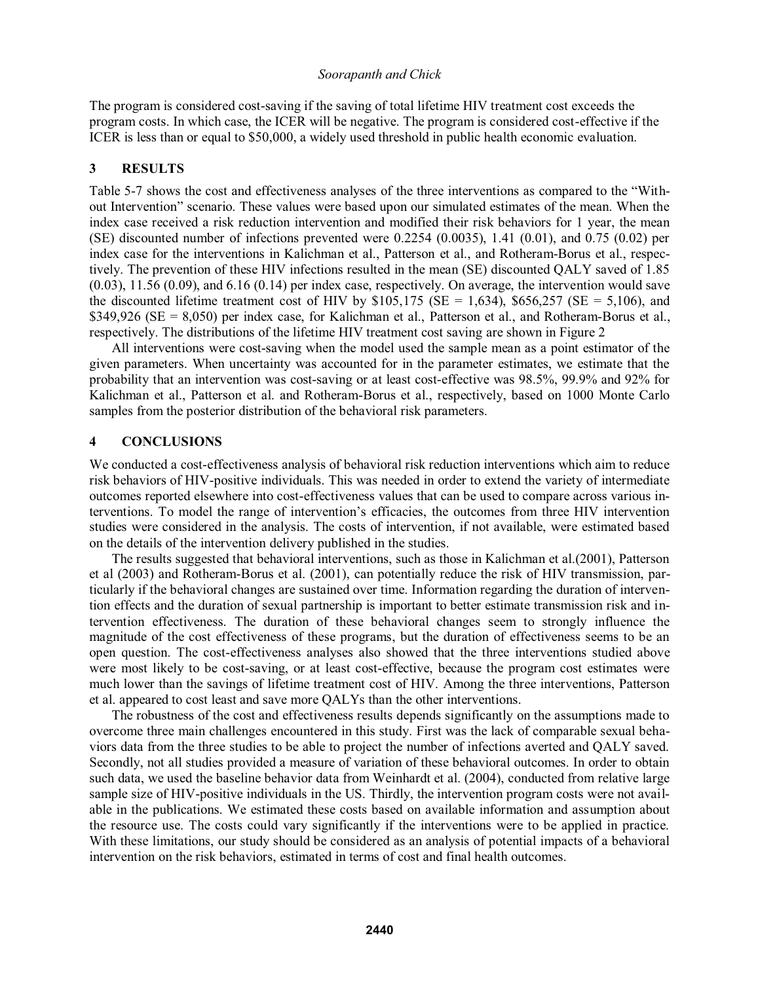The program is considered cost-saving if the saving of total lifetime HIV treatment cost exceeds the program costs. In which case, the ICER will be negative. The program is considered cost-effective if the ICER is less than or equal to \$50,000, a widely used threshold in public health economic evaluation.

#### **3 RESULTS**

Table 5-7 shows the cost and effectiveness analyses of the three interventions as compared to the "Without Intervention" scenario. These values were based upon our simulated estimates of the mean. When the index case received a risk reduction intervention and modified their risk behaviors for 1 year, the mean (SE) discounted number of infections prevented were  $0.2254$  (0.0035), 1.41 (0.01), and 0.75 (0.02) per index case for the interventions in Kalichman et al., Patterson et al., and Rotheram-Borus et al., respectively. The prevention of these HIV infections resulted in the mean (SE) discounted QALY saved of 1.85  $(0.03)$ , 11.56  $(0.09)$ , and 6.16  $(0.14)$  per index case, respectively. On average, the intervention would save the discounted lifetime treatment cost of HIV by  $$105,175$  (SE = 1,634),  $$656,257$  (SE = 5,106), and \$349,926 (SE = 8,050) per index case, for Kalichman et al., Patterson et al., and Rotheram-Borus et al., respectively. The distributions of the lifetime HIV treatment cost saving are shown in Figure 2

 All interventions were cost-saving when the model used the sample mean as a point estimator of the given parameters. When uncertainty was accounted for in the parameter estimates, we estimate that the probability that an intervention was cost-saving or at least cost-effective was 98.5%, 99.9% and 92% for Kalichman et al., Patterson et al. and Rotheram-Borus et al., respectively, based on 1000 Monte Carlo samples from the posterior distribution of the behavioral risk parameters.

#### **4 CONCLUSIONS**

We conducted a cost-effectiveness analysis of behavioral risk reduction interventions which aim to reduce risk behaviors of HIV-positive individuals. This was needed in order to extend the variety of intermediate outcomes reported elsewhere into cost-effectiveness values that can be used to compare across various in terventions. To model the range of intervention's efficacies, the outcomes from three HIV intervention studies were considered in the analysis. The costs of intervention, if not available, were estimated based on the details of the intervention delivery published in the studies.

 The results suggested that behavioral interventions, such as those in Kalichman et al.(2001), Patterson et al (2003) and Rotheram-Borus et al. (2001), can potentially reduce the risk of HIV transmission, particularly if the behavioral changes are sustained over time. Information regarding the duration of intervention effects and the duration of sexual partnership is important to better estimate transmission risk and intervention effectiveness. The duration of these behavioral changes seem to strongly influence the magnitude of the cost effectiveness of these programs, but the duration of effectiveness seems to be an open question. The cost-effectiveness analyses also showed that the three interventions studied above were most likely to be cost-saving, or at least cost-effective, because the program cost estimates were much lower than the savings of lifetime treatment cost of HIV. Among the three interventions, Patterson et al. appeared to cost least and save more QALYs than the other interventions.

The robustness of the cost and effectiveness results depends significantly on the assumptions made to overcome three main challenges encountered in this study. First was the lack of comparable sexual behaviors data from the three studies to be able to project the number of infections averted and QALY saved. Secondly, not all studies provided a measure of variation of these behavioral outcomes. In order to obtain such data, we used the baseline behavior data from Weinhardt et al. (2004), conducted from relative large sample size of HIV-positive individuals in the US. Thirdly, the intervention program costs were not available in the publications. We estimated these costs based on available information and assumption about the resource use. The costs could vary significantly if the interventions were to be applied in practice. With these limitations, our study should be considered as an analysis of potential impacts of a behavioral intervention on the risk behaviors, estimated in terms of cost and final health outcomes.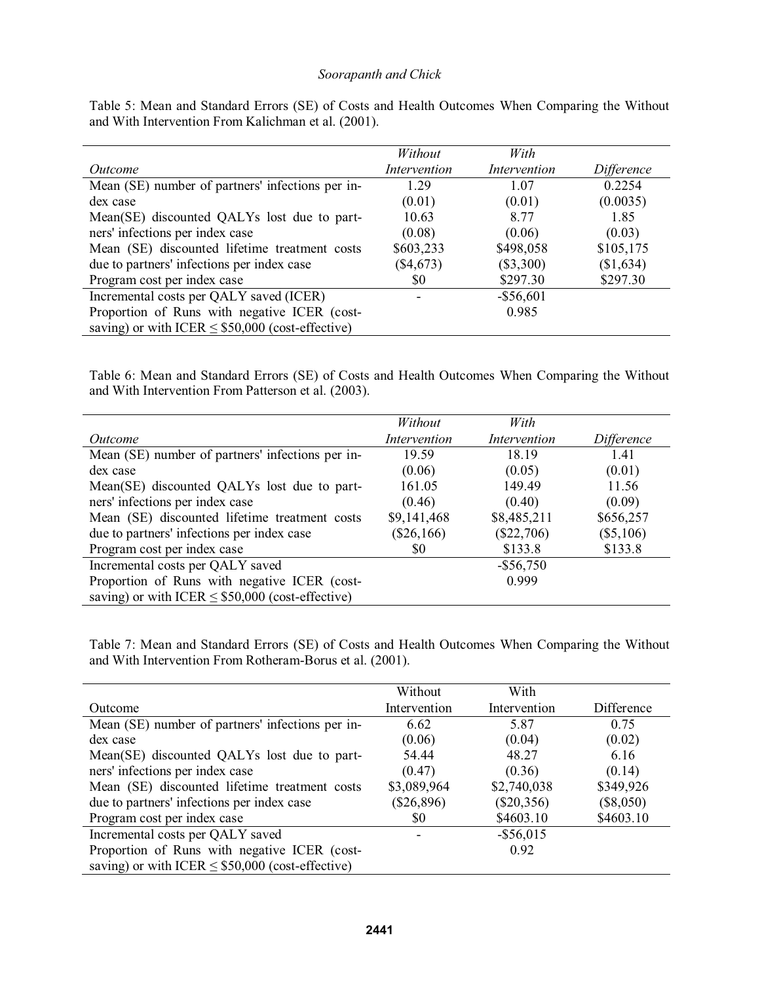|                                                       | Without      | With         |            |
|-------------------------------------------------------|--------------|--------------|------------|
| Outcome                                               | Intervention | Intervention | Difference |
| Mean (SE) number of partners' infections per in-      | 1.29         | 1.07         | 0.2254     |
| dex case                                              | (0.01)       | (0.01)       | (0.0035)   |
| Mean(SE) discounted QALYs lost due to part-           | 10.63        | 8.77         | 1.85       |
| ners' infections per index case                       | (0.08)       | (0.06)       | (0.03)     |
| Mean (SE) discounted lifetime treatment costs         | \$603,233    | \$498,058    | \$105,175  |
| due to partners' infections per index case            | $(\$4,673)$  | $(\$3,300)$  | (\$1,634)  |
| Program cost per index case                           | \$0          | \$297.30     | \$297.30   |
| Incremental costs per QALY saved (ICER)               |              | $-$ \$56,601 |            |
| Proportion of Runs with negative ICER (cost-          |              | 0.985        |            |
| saving) or with ICER $\leq$ \$50,000 (cost-effective) |              |              |            |

Table 5: Mean and Standard Errors (SE) of Costs and Health Outcomes When Comparing the Without and With Intervention From Kalichman et al. (2001).

Table 6: Mean and Standard Errors (SE) of Costs and Health Outcomes When Comparing the Without and With Intervention From Patterson et al. (2003).

|                                                       | Without      | With         |             |
|-------------------------------------------------------|--------------|--------------|-------------|
| Outcome                                               | Intervention | Intervention | Difference  |
| Mean (SE) number of partners' infections per in-      | 19.59        | 18.19        | 1.41        |
| dex case                                              | (0.06)       | (0.05)       | (0.01)      |
| Mean(SE) discounted QALYs lost due to part-           | 161.05       | 149.49       | 11.56       |
| ners' infections per index case                       | (0.46)       | (0.40)       | (0.09)      |
| Mean (SE) discounted lifetime treatment costs         | \$9,141,468  | \$8,485,211  | \$656,257   |
| due to partners' infections per index case            | $(\$26,166)$ | $(\$22,706)$ | $(\$5,106)$ |
| Program cost per index case                           | \$0          | \$133.8      | \$133.8     |
| Incremental costs per QALY saved                      |              | $-$ \$56,750 |             |
| Proportion of Runs with negative ICER (cost-          |              | 0.999        |             |
| saving) or with ICER $\leq$ \$50,000 (cost-effective) |              |              |             |

Table 7: Mean and Standard Errors (SE) of Costs and Health Outcomes When Comparing the Without and With Intervention From Rotheram-Borus et al. (2001).

|                                                       | Without      | With         |             |
|-------------------------------------------------------|--------------|--------------|-------------|
| Outcome                                               | Intervention | Intervention | Difference  |
| Mean (SE) number of partners' infections per in-      | 6.62         | 5.87         | 0.75        |
| dex case                                              | (0.06)       | (0.04)       | (0.02)      |
| Mean(SE) discounted QALYs lost due to part-           | 54.44        | 48.27        | 6.16        |
| ners' infections per index case                       | (0.47)       | (0.36)       | (0.14)      |
| Mean (SE) discounted lifetime treatment costs         | \$3,089,964  | \$2,740,038  | \$349,926   |
| due to partners' infections per index case            | $(\$26,896)$ | $(\$20,356)$ | $(\$8,050)$ |
| Program cost per index case                           | \$0          | \$4603.10    | \$4603.10   |
| Incremental costs per QALY saved                      |              | $-$ \$56,015 |             |
| Proportion of Runs with negative ICER (cost-          |              | 0.92         |             |
| saving) or with ICER $\leq$ \$50,000 (cost-effective) |              |              |             |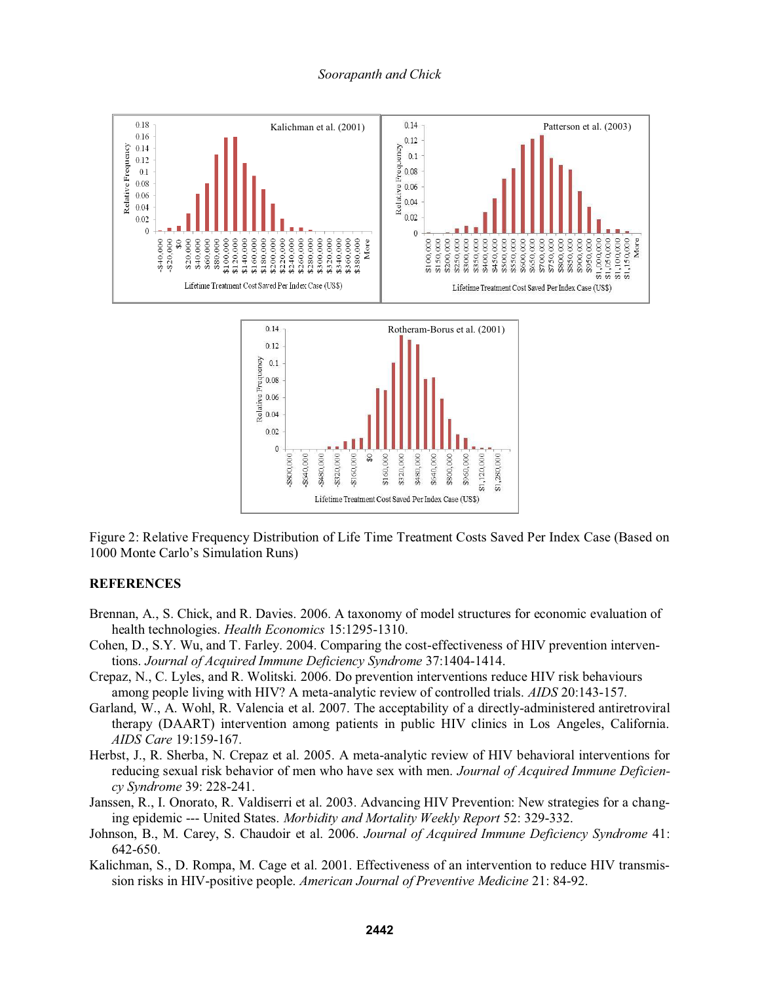

Figure 2: Relative Frequency Distribution of Life Time Treatment Costs Saved Per Index Case (Based on 1000 Monte Carlo's Simulation Runs)

### **REFERENCES**

- Brennan, A., S. Chick, and R. Davies. 2006. A taxonomy of model structures for economic evaluation of health technologies. *Health Economics* 15:1295-1310.
- Cohen, D., S.Y. Wu, and T. Farley. 2004. Comparing the cost-effectiveness of HIV prevention interventions. *Journal of Acquired Immune Deficiency Syndrome* 37:1404-1414.
- Crepaz, N., C. Lyles, and R. Wolitski. 2006. Do prevention interventions reduce HIV risk behaviours among people living with HIV? A meta-analytic review of controlled trials. *AIDS* 20:143-157.
- Garland, W., A. Wohl, R. Valencia et al. 2007. The acceptability of a directly-administered antiretroviral therapy (DAART) intervention among patients in public HIV clinics in Los Angeles, California. *AIDS Care* 19:159-167.
- Herbst, J., R. Sherba, N. Crepaz et al. 2005. A meta-analytic review of HIV behavioral interventions for reducing sexual risk behavior of men who have sex with men. *Journal of Acquired Immune Deficiency Syndrome* 39: 228-241.
- Janssen, R., I. Onorato, R. Valdiserri et al. 2003. Advancing HIV Prevention: New strategies for a changing epidemic --- United States. *Morbidity and Mortality Weekly Report* 52: 329-332.
- Johnson, B., M. Carey, S. Chaudoir et al. 2006. *Journal of Acquired Immune Deficiency Syndrome* 41: 642-650.
- Kalichman, S., D. Rompa, M. Cage et al. 2001. Effectiveness of an intervention to reduce HIV transmission risks in HIV-positive people. *American Journal of Preventive Medicine* 21: 84-92.